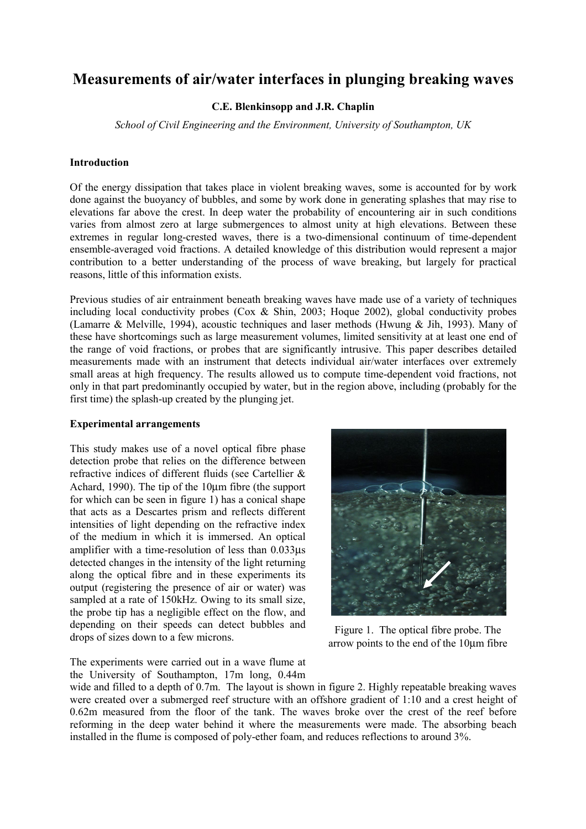# Measurements of air/water interfaces in plunging breaking waves

### C.E. Blenkinsopp and J.R. Chaplin

School of Civil Engineering and the Environment, University of Southampton, UK

#### **Introduction**

Of the energy dissipation that takes place in violent breaking waves, some is accounted for by work done against the buoyancy of bubbles, and some by work done in generating splashes that may rise to elevations far above the crest. In deep water the probability of encountering air in such conditions varies from almost zero at large submergences to almost unity at high elevations. Between these extremes in regular long-crested waves, there is a two-dimensional continuum of time-dependent ensemble-averaged void fractions. A detailed knowledge of this distribution would represent a major contribution to a better understanding of the process of wave breaking, but largely for practical reasons, little of this information exists.

Previous studies of air entrainment beneath breaking waves have made use of a variety of techniques including local conductivity probes ( $\cos \&$  Shin, 2003; Hoque 2002), global conductivity probes (Lamarre & Melville, 1994), acoustic techniques and laser methods (Hwung & Jih, 1993). Many of these have shortcomings such as large measurement volumes, limited sensitivity at at least one end of the range of void fractions, or probes that are significantly intrusive. This paper describes detailed measurements made with an instrument that detects individual air/water interfaces over extremely small areas at high frequency. The results allowed us to compute time-dependent void fractions, not only in that part predominantly occupied by water, but in the region above, including (probably for the first time) the splash-up created by the plunging jet.

#### **Experimental arrangements**

This study makes use of a novel optical fibre phase detection probe that relies on the difference between refractive indices of different fluids (see Cartellier & Achard, 1990). The tip of the  $10\mu m$  fibre (the support for which can be seen in figure 1) has a conical shape that acts as a Descartes prism and reflects different intensities of light depending on the refractive index of the medium in which it is immersed. An optical amplifier with a time-resolution of less than  $0.033\mu s$ detected changes in the intensity of the light returning along the optical fibre and in these experiments its output (registering the presence of air or water) was sampled at a rate of 150 kHz. Owing to its small size. the probe tip has a negligible effect on the flow, and depending on their speeds can detect bubbles and drops of sizes down to a few microns.

Figure 1. The optical fibre probe. The arrow points to the end of the 10um fibre

The experiments were carried out in a wave flume at the University of Southampton, 17m long, 0.44m

wide and filled to a depth of 0.7m. The layout is shown in figure 2. Highly repeatable breaking waves were created over a submerged reef structure with an offshore gradient of 1:10 and a crest height of 0.62m measured from the floor of the tank. The waves broke over the crest of the reef before reforming in the deep water behind it where the measurements were made. The absorbing beach installed in the flume is composed of poly-ether foam, and reduces reflections to around 3%.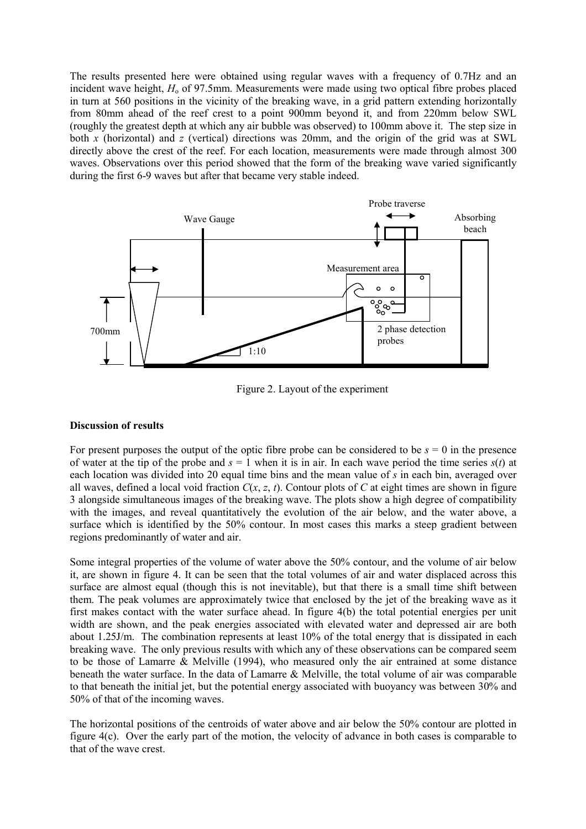The results presented here were obtained using regular waves with a frequency of 0.7Hz and an incident wave height,  $H_0$  of 97.5mm. Measurements were made using two optical fibre probes placed in turn at 560 positions in the vicinity of the breaking wave, in a grid pattern extending horizontally from 80mm ahead of the reef crest to a point 900mm beyond it, and from 220mm below SWL (roughly the greatest depth at which any air bubble was observed) to 100mm above it. The step size in both x (horizontal) and z (vertical) directions was 20mm, and the origin of the grid was at SWL directly above the crest of the reef. For each location, measurements were made through almost 300 waves. Observations over this period showed that the form of the breaking wave varied significantly during the first 6-9 waves but after that became very stable indeed.



Figure 2. Layout of the experiment

## **Discussion of results**

For present purposes the output of the optic fibre probe can be considered to be  $s = 0$  in the presence of water at the tip of the probe and  $s = 1$  when it is in air. In each wave period the time series  $s(t)$  at each location was divided into 20 equal time bins and the mean value of s in each bin, averaged over all waves, defined a local void fraction  $C(x, z, t)$ . Contour plots of C at eight times are shown in figure 3 alongside simultaneous images of the breaking wave. The plots show a high degree of compatibility with the images, and reveal quantitatively the evolution of the air below, and the water above, a surface which is identified by the 50% contour. In most cases this marks a steep gradient between regions predominantly of water and air.

Some integral properties of the volume of water above the 50% contour, and the volume of air below it, are shown in figure 4. It can be seen that the total volumes of air and water displaced across this surface are almost equal (though this is not inevitable), but that there is a small time shift between them. The peak volumes are approximately twice that enclosed by the jet of the breaking wave as it first makes contact with the water surface ahead. In figure 4(b) the total potential energies per unit width are shown, and the peak energies associated with elevated water and depressed air are both about 1.25J/m. The combination represents at least  $10\%$  of the total energy that is dissipated in each breaking wave. The only previous results with which any of these observations can be compared seem to be those of Lamarre  $\&$  Melville (1994), who measured only the air entrained at some distance beneath the water surface. In the data of Lamarre & Melville, the total volume of air was comparable to that beneath the initial jet, but the potential energy associated with buoyancy was between 30% and 50% of that of the incoming waves.

The horizontal positions of the centroids of water above and air below the 50% contour are plotted in figure 4(c). Over the early part of the motion, the velocity of advance in both cases is comparable to that of the wave crest.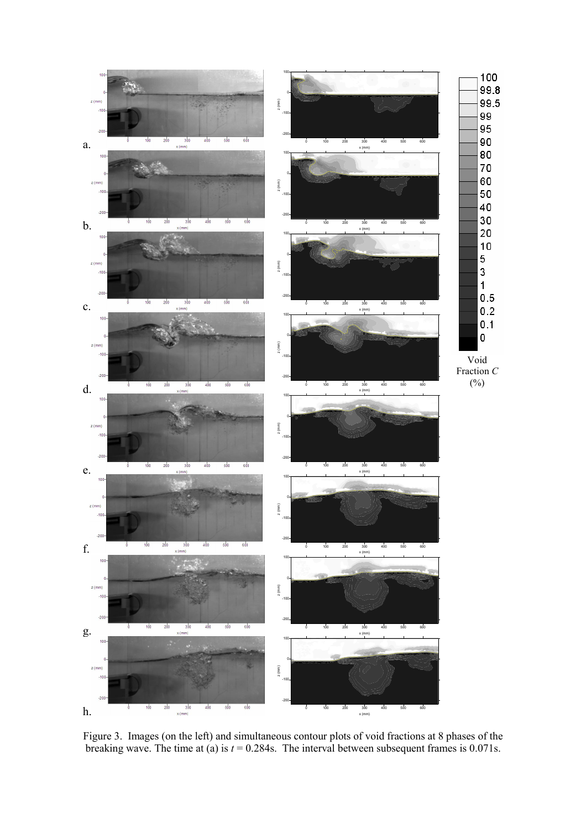

Figure 3. Images (on the left) and simultaneous contour plots of void fractions at 8 phases of the breaking wave. The time at (a) is  $t = 0.284$ s. The interval between subsequent frames is 0.071s.